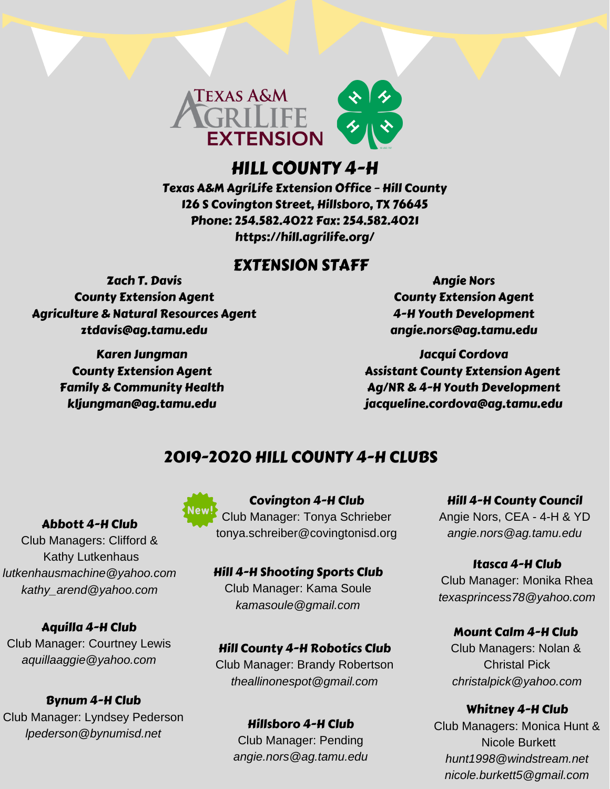

# HILL COUNTY 4-H

Texas A&M AgriLife Extension Office – Hill County 126 S Covington Street, Hillsboro, TX 76645 Phone: 254.582.4022 Fax: 254.582.4021 https://hill.agrilife.org/

# EXTENSION STAFF

Zach T. Davis County Extension Agent Agriculture & Natural Resources Agent ztdavis@ag.tamu.edu

> Karen Jungman County Extension Agent Family & Community Health kljungman@ag.tamu.edu

Angie Nors County Extension Agent 4-H Youth Development angie.nors@ag.tamu.edu

Jacqui Cordova Assistant County Extension Agent Ag/NR & 4-H Youth Development jacqueline.cordova@ag.tamu.edu

# 2019-2020 HILL COUNTY 4-H CLUBS

## Abbott 4-H Club

Club Managers: Clifford & Kathy Lutkenhaus *lutkenhausmachine@yahoo.com kathy\_arend@yahoo.com*

## Aquilla 4-H Club

Club Manager: Courtney Lewis *aquillaaggie@yahoo.com*

# Bynum 4-H Club

Club Manager: Lyndsey Pederson *lpederson@bynumisd.net*



Covington 4-H Club Club Manager: Tonya Schrieber tonya.schreiber@covingtonisd.org

Hill 4-H Shooting Sports Club Club Manager: Kama Soule *kamasoule@gmail.com*

## Hill County 4-H Robotics Club

Club Manager: Brandy Robertson *theallinonespot@gmail.com*

## Hillsboro 4-H Club

Club Manager: Pending *angie.nors@ag.tamu.edu* Hill 4-H County Council

Angie Nors, CEA - 4-H & YD *angie.nors@ag.tamu.edu*

Itasca 4-H Club Club Manager: Monika Rhea *texasprincess78@yahoo.com*

## Mount Calm 4-H Club

Club Managers: Nolan & Christal Pick *christalpick@yahoo.com*

Whitney 4-H Club Club Managers: Monica Hunt & Nicole Burkett *hunt1998@windstream.net nicole.burkett5@gmail.com*